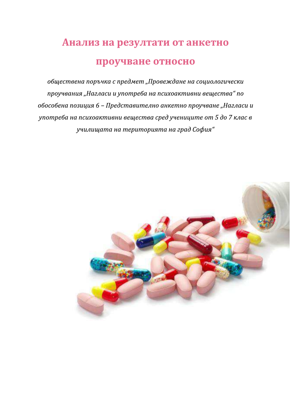# Анализ на резултати от анкетно проучване относно

обществена поръчка с предмет "Провеждане на социологически проучвания "Нагласи и употреба на психоактивни вещества" по обособена позиция 6 - Представително анкетно проучване "Нагласи и употреба на психоактивни вещества сред учениците от 5 до 7 клас в училищата на територията на град София"

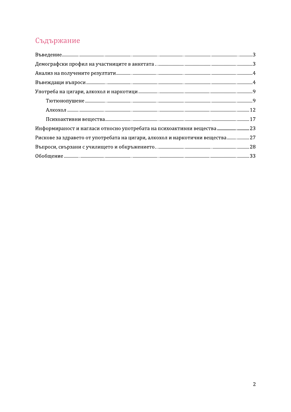# Съдържание

| Информираност и нагласи относно употребата на психоактивни вещества  23        |
|--------------------------------------------------------------------------------|
| Рискове за здравето от употребата на цигари, алкохол и наркотични вещества  27 |
|                                                                                |
|                                                                                |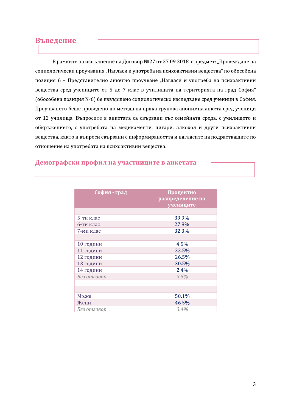#### Въведение

:

В рамките на изпълнение на Договор №27 от 27.09.2018 с предмет: "Провеждане на социологически проучвания "Нагласи и употреба на психоактивни вещества" по обособена позиция 6 - Представително анкетно проучване "Нагласи и употреба на психоактивни вещества сред учениците от 5 до 7 клас в училищата на територията на град София" (обособена позиция №6) бе извършено социологическо изследване сред ученици в София. Проучването беше проведено по метода на пряка групова анонимна анкета сред ученици от 12 училища. Въпросите в анкетата са свързани със семейната среда, с училището и обкръжението, с употребата на медикаменти, цигари, алкохол и други психоактивни вещества, както и въпроси свързани с информираността и нагласите на подрастващите по отношение на употребата на психоактивни вещества.

# демографски профил на участниците в анкетата

| София - град | Процентно<br>разпределение на<br>учениците |
|--------------|--------------------------------------------|
|              |                                            |
| 5-ти клас    | 39.9%                                      |
| 6-ти клас    | 27.8%                                      |
| 7-ми клас    | 32.3%                                      |
|              |                                            |
| 10 години    | 4.5%                                       |
| 11 години    | 32.5%                                      |
| 12 години    | 26.5%                                      |
| 13 години    | 30.5%                                      |
| 14 години    | 2.4%                                       |
| Без отговор  | 3.5%                                       |
|              |                                            |
|              |                                            |
| Мъже         | 50.1%                                      |
| Жени         | 46.5%                                      |
| Без отговор  | 3.4%                                       |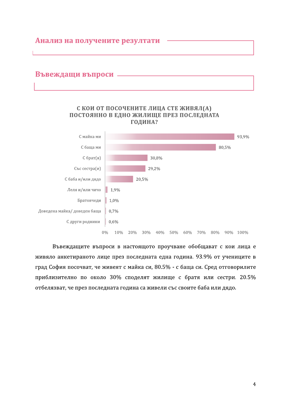

29,2%

20,5%

Със сестра(и)

Леля и/или чичо 1,9%

1,0%

0,7%

 $0,6%$ 

Братовчеди

С баба и/или дядо

С други роднини

Доведена майка/ доведен баща

 $0\%$ 10% 20% 30% 40% 50% 60% 70% 80% 90% 100%

Въвеждащите въпроси в настоящото проучване обобщават с кои лица е живяло анкетираното лице през последната една година. 93.9% от учениците в град София посочват, че живеят с майка си, 80.5% - с баща си. Сред отговорилите приблизително по около 30% споделят жилище с братя или сестри. 20.5% отбелязват, че през последната година са живели със своите баба или дядо.

 $\overline{4}$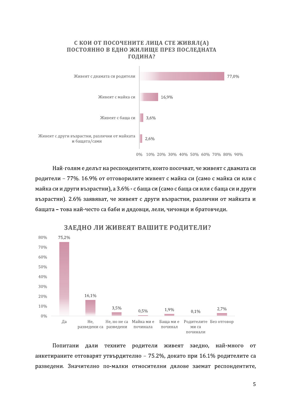

Най-голям е делът на респондентите, които посочват, че живеят с двамата си родители - 77%. 16.9% от отговорилите живеят с майка си (само с майка си или с майка си и други възрастни), а 3.6% - с баща си (само с баща си или с баща си и други възрастни). 2.6% заявяват, че живеят с други възрастни, различни от майката и бащата - това най-често са баби и дядовци, лели, чичовци и братовчеди.



Попитани дали техните родители живеят заедно, най-много от анкетираните отговарят утвърдително - 75.2%, докато при 16.1% родителите са разведени. Значително по-малки относителни дялове заемат респондентите,

### ЗАЕДНО ЛИ ЖИВЕЯТ ВАШИТЕ РОДИТЕЛИ?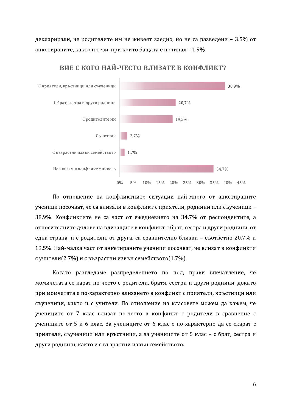декларирали, че родителите им не живеят заедно, но не са разведени - 3.5% от анкетираните, както и тези, при които бащата е починал - 1.9%.



По отношение на конфликтните ситуации най-много от анкетираните ученици посочват, че са влизали в конфликт с приятели, роднини или съученици -38.9%. Конфликтите не са част от ежедневието на 34.7% от респондентите, а относителните дялове на влизащите в конфликт с брат, сестра и други роднини, от една страна, и с родители, от друга, са сравнително близки - съответно 20.7% и 19.5%. Най-малка част от анкетираните ученици посочват, че влизат в конфликти с учители $(2.7\%)$  и с възрастни извън семейството $(1.7\%)$ .

Когато разгледаме разпределението по пол, прави впечатление, че момичетата се карат по-често с родители, братя, сестри и други роднини, докато при момчетата е по-характерно влизането в конфликт с приятели, връстници или съученици, както и с учители. По отношение на класовете можем да кажем, че учениците от 7 клас влизат по-често в конфликт с родители в сравнение с учениците от 5 и 6 клас. За учениците от 6 клас е по-характерно да се скарат с приятели, съученици или връстници, а за учениците от 5 клас - с брат, сестра и други роднини, както и с възрастни извън семейството.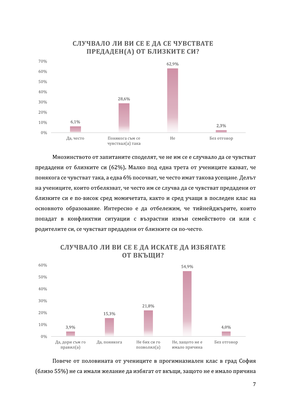

Мнозинството от запитаните споделят, че не им се е случвало да се чувстват предадени от близките си (62%). Малко под една трета от учениците казват, че понякога се чувстват така, а едва 6% посочват, че често имат такова усещане. Делът на учениците, които отбелязват, че често им се случва да се чувстват предадени от близките си е по-висок сред момичетата, както и сред учащи в последен клас на основното образование. Интересно е да отбележим, че тийнейджърите, които попадат в конфликтни ситуации с възрастни извън семейството си или с родителите си, се чувстват предадени от близките си по-често.



### СЛУЧВАЛО ЛИ ВИ СЕ Е ДА ИСКАТЕ ДА ИЗБЯГАТЕ ОТ ВКЪШИ?

Повече от половината от учениците в прогимназиален клас в град София (близо 55%) не са имали желание да избягат от вкъщи, защото не е имало причина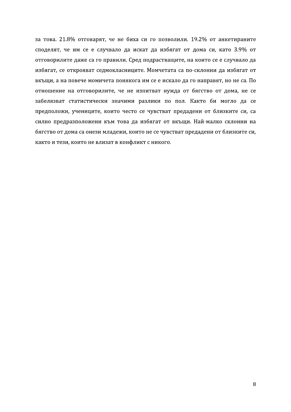за това. 21.8% отговарят, че не биха си го позволили. 19.2% от анкетираните споделят, че им се е случвало да искат да избягат от дома си, като 3.9% от отговорилите даже са го правили. Сред подрастващите, на които се е случвало да избягат, се открояват седмокласниците. Момчетата са по-склонни да избягат от вкъщи, а на повече момичета понякога им се е искало да го направят, но не са. По отношение на отговорилите, че не изпитват нужда от бягство от дома, не се забелязват статистически значими разлики по пол. Както би могло да се предположи, учениците, които често се чувстват предадени от близките си, са силно предразположени към това да избягат от вкъщи. Най-малко склонни на бягство от дома са онези младежи, които не се чувстват предадени от близките си, както и тези, които не влизат в конфликт с никого.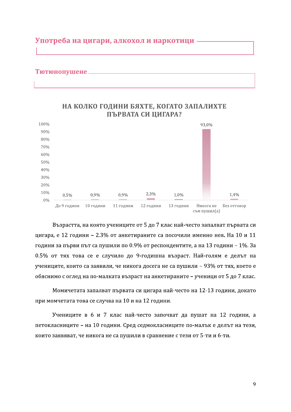### Употреба на цигари, алкохол и наркотици -

#### Тютюнопушене \_



#### НА КОЛКО ГОДИНИ БЯХТЕ, КОГАТО ЗАПАЛИХТЕ ПЪРВАТА СИ ЦИГАРА?

Възрастта, на която учениците от 5 до 7 клас най-често запалват първата си цигара, е 12 години - 2.3% от анкетираните са посочили именно нея. На 10 и 11 години за първи път са пушили по 0.9% от респондентите, а на 13 години - 1%. За 0.5% от тях това се е случило до 9-годишна възраст. Най-голям е делът на учениците, които са заявили, че никога досега не са пушили - 93% от тях, което е обяснимо с оглед на по-малката възраст на анкетираните - ученици от 5 до 7 клас.

Момичетата запалват първата си цигара най-често на 12-13 години, докато при момчетата това се случва на 10 и на 12 години.

Учениците в 6 и 7 клас най-често започват да пушат на 12 години, а петокласниците - на 10 години. Сред седмокласниците по-малък е делът на тези, които заявяват, че никога не са пушили в сравнение с тези от 5-ти и 6-ти.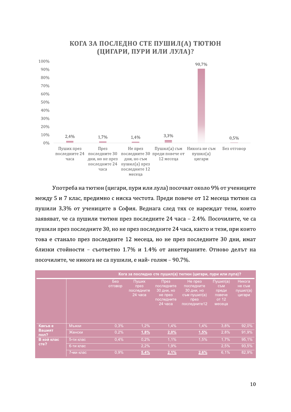

### КОГА ЗА ПОСЛЕДНО СТЕ ПУШИЛ(А) ТЮТЮН (ЦИГАРИ, ПУРИ ИЛИ ЛУЛА)?

Употреба на тютюн (цигари, пури или лула) посочват около 9% от учениците между 5 и 7 клас, предимно с ниска честота. Преди повече от 12 месеца тютюн са пушили 3.3% от учениците в София. Веднага след тях се нареждат тези, които заявяват, че са пушили тютюн през последните 24 часа - 2.4%. Посочилите, че са пушили през последните 30, но не през последните 24 часа, както и тези, при които това е станало през последните 12 месеца, но не през последните 30 дни, имат близки стойности - съответно 1.7% и 1.4% от анкетираните. Отново делът на посочилите, че никога не са пушили, е най-голям - 90.7%.

|                    | Кога за последно сте пушил(а) тютюн (цигари, пури или лула)? |                |                                        |                                                                      |                                                                             |                                                       |                                        |
|--------------------|--------------------------------------------------------------|----------------|----------------------------------------|----------------------------------------------------------------------|-----------------------------------------------------------------------------|-------------------------------------------------------|----------------------------------------|
|                    |                                                              | Без<br>отговор | Пуших<br>през<br>последните<br>24 yaca | През<br>последните<br>30 дни, но<br>не през<br>последните<br>24 yaca | Не през<br>последните<br>30 дни, но<br>съм пушил(а)<br>през<br>последните12 | Пушил(а)<br>СЪМ<br>преди<br>повече<br>от 12<br>месеца | Никога<br>не съм<br>пушил(а)<br>цигари |
| Какъве             | Мъжки                                                        | 0.3%           | 1.2%                                   | 1.4%                                                                 | 1.4%                                                                        | 3.8%                                                  | 92,0%                                  |
| Вашият<br>пол?     | Женски                                                       | 0.2%           | 1,8%                                   | 2,0%                                                                 | 1,5%                                                                        | 2,8%                                                  | 91,9%                                  |
| В кой клас<br>cre? | 5-ти клас                                                    | 0,4%           | 0.2%                                   | 1.1%                                                                 | 1,5%                                                                        | 1,7%                                                  | 95,1%                                  |
|                    | 6-ти клас                                                    |                | 2.2%                                   | 1.9%                                                                 |                                                                             | 2.5%                                                  | 93,5%                                  |
|                    | 7-ми клас                                                    | 0.9%           | 5,4%                                   | 2,1%                                                                 | 2,6%                                                                        | 6,1%                                                  | 82,9%                                  |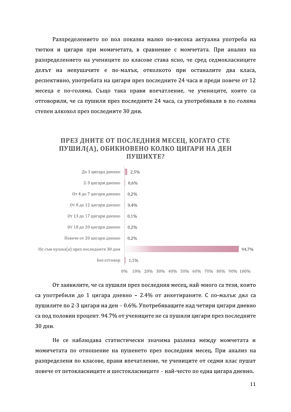Разпределението по пол показва малко по-висока актуална употреба на тютюн и цигари при момичетата, в сравнение с момчетата. При анализ на разпределението на учениците по класове става ясно, че сред седмокласниците делът на непушачите е по-малък, отколкото при останалите два класа, респективно, употребата на цигари през последните 24 часа и преди повече от 12 месеца е по-голяма. Също така прави впечатление, че учениците, които са отговорили, че са пушили през последните 24 часа, са употребявали в по-голяма степен алкохол през последните 30 дни.



От заявилите, че са пушили през последния месец, най-много са тези, които са употребили до 1 цигара дневно – 2.4% от анкетираните. С по-малък дял са пушилите по 2-3 цигари на ден - 0.6%. Употребяващите над четири цигари дневно са под половин процент. 94.7% от учениците не са пушили цигари през последните 30 дни.<br>1986<br>Не се наблюдава статистически значима разлика между момчетата и

момичетата по отношение на пушенето през последния месец. При анализ на разпределени по класове, прави впечатление, че учениците от седми клас пушат повече от петокласниците и шестокласниците - най-често по една цигара дневно.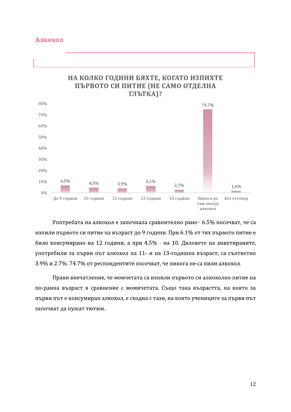

Употребата на алкохол е започнала сравнително рано- 6.5% посочват, че са изпили първото си питие на възраст до 9 години. При 6.1% от тях първото питие е било консумирано на 12 години, а при 4.5% - на 10. Дяловете на анкетираните, употребили за първи път алкохол на 11- и на 13-годишна възраст, са съответно 3.9% и 2.7%. 74.7% от респондентите посочват, че никога не са пили алкохол.

Прави впечатление, че момчетата са изпили първото си алкохолно питие на по-ранна възраст в сравнение с момичетата. Също така възрастта, на която за първи път е консумиран алкохол, е сходна с тази, на която учениците за първи път започват да пушат тютюн.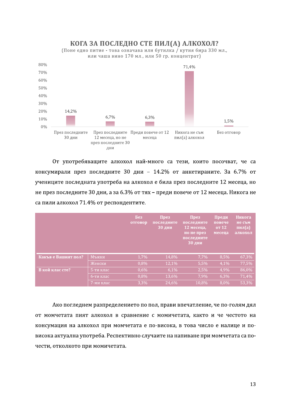#### КОГА ЗА ПОСЛЕДНО СТЕ ПИЛ(А) АЛКОХОЛ?

(Поне едно питие - това означава или бутилка / кутия бира 330 мл., или чаша вино 170 мл., или 50 гр. концентрат)



От употребяващите алкохол най-много са тези, които посочват, че са консумирали през последните 30 дни - 14.2% от анкетираните. За 6.7% от учениците последната употреба на алкохол е била през последните 12 месеца, но не през последните 30 дни, а за 6.3% от тях - преди повече от 12 месеца. Никога не са пили алкохол 71.4% от респондентите.

|                     |              | Без<br>отговор | $\prod$ pe <sub>3</sub><br>последните<br><b>130 дни</b> | $\prod$ pe <sub>3</sub><br>последните<br>12 месеца,<br>но не през<br>последните<br>$30 \mu$ ии | Преди<br>повече<br>or 12<br>месеца | Никога<br>не съм<br>пил(а)<br>алкохол |
|---------------------|--------------|----------------|---------------------------------------------------------|------------------------------------------------------------------------------------------------|------------------------------------|---------------------------------------|
| Какъв е Вашият пол? | <b>Мъжки</b> | 1.7%           | 14,8%                                                   | 7,7%                                                                                           | 8,5%                               | 67,3%                                 |
|                     | Женски       | 0,8%           | 12,1%                                                   | 5,5%                                                                                           | 4,1%                               | 77,5%                                 |
| В кой клас сте?     | 5-ти клас    | 0,6%           | 6,1%                                                    | 2,5%                                                                                           | 4,9%                               | 86,0%                                 |
|                     | 6-ти клас    | 0,8%           | 13,6%                                                   | 7,9%                                                                                           | 6,3%                               | 71,4%                                 |
|                     | '7-ми клас   | 3,3%           | 24,6%                                                   | 10,8%                                                                                          | 8,0%                               | 53,3%                                 |

Ако погледнем разпределението по пол, прави впечатление, че по-голям дял от момчетата пият алкохол в сравнение с момичетата, както и че честото на консумация на алкохол при момчетата е по-висока, в това число е налице и повисока актуална употреба. Респективно случаите на напиване при момчетата са почести, отколкото при момичетата.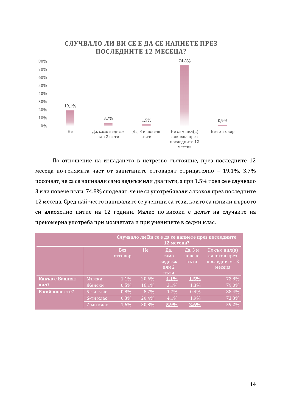

#### СЛУЧВАЛО ЛИ ВИ СЕ Е ДА СЕ НАПИЕТЕ ПРЕЗ ПОСЛЕДНИТЕ 12 МЕСЕЦА?

По отношение на изпадането в нетрезво състояние, през последните 12 месеца по-голямата част от запитаните отговарят отрицателно - 19.1%. 3.7% посочват, че са се напивали само веднъж или два пъти, а при 1.5% това се е случвало 3 или повече пъти. 74.8% споделят, че не са употребявали алкохол през последните 12 месеца. Сред най-често напивалите се ученици са тези, които са изпили първото си алкохолно питие на 12 години. Малко по-високи е делът на случаите на прекомерна употреба при момчетата и при учениците в седми клас.

|                 | Случвало ли Ви се е да се напиете през последните<br>12 месеца? |                |                |                                        |                           |                                                          |
|-----------------|-----------------------------------------------------------------|----------------|----------------|----------------------------------------|---------------------------|----------------------------------------------------------|
|                 |                                                                 | Без<br>отговор | H <sub>e</sub> | Да,<br>само<br>веднъж<br>или 2<br>ПЪТИ | Да, 3 и<br>повече<br>ПЪТИ | Не съм пил(а)<br>алкохол през<br>последните 12<br>месеца |
| Какъв е Вашият  | Мъжки                                                           | 1,1%           | 20,6%          | $4.1\%$                                | $1.5\%$                   | 72,8%                                                    |
| пол?            | Женски                                                          | 0,5%           | 16,1%          | 3,1%                                   | 1,3%                      | 79,0%                                                    |
| В кой клас сте? | 5-ти клас                                                       | 0,8%           | 8,7%           | 1,7%                                   | 0,4%                      | 88,4%                                                    |
|                 | 6-ти клас                                                       | 0,3%           | 20,4%          | 4,1%                                   | 1,9%                      | 73,3%                                                    |
|                 | 7-ми клас                                                       | 1,6%           | 30,8%          | $5.9\%$                                | 2,6%                      | 59,2%                                                    |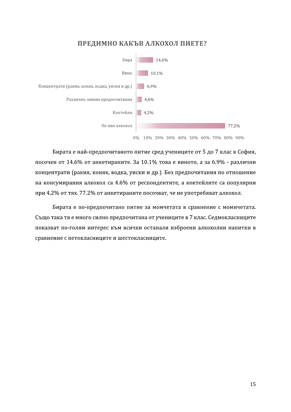#### ПРЕДИМНО КАКЪВ АЛКОХОЛ ПИЕТЕ?



0% 10% 20% 30% 40% 50% 60% 70% 80% 90%

Бирата е най-предпочитаното питие сред учениците от 5 до 7 клас в София, посочен от 14.6% от анкетираните. За 10.1% това е виното, а за 6.9% - различни концентрати (ракия, коняк, водка, уиски и др.). Без предпочитания по отношение на консумирания алкохол са 4.6% от респондентите, а коктейлите са популярни при 4,2% от тях. 77.2% от анкетираните посочват, че не употребяват алкохол.

Бирата е по-предпочитано питие за момчетата в сравнение с момичетата. Също така тя е много силно предпочитана от учениците в 7 клас. Седмокласниците показват по-голям интерес към всички останали изброени алкохолни напитки в сравнение с петокласниците и шестокласниците.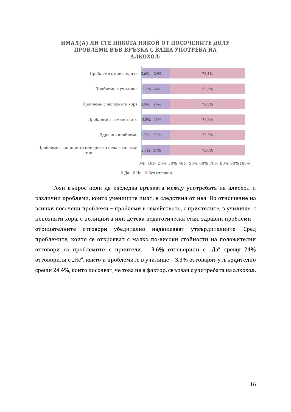

 $\blacksquare$  Да  $\blacksquare$  Не  $\blacksquare$  Без отговор

Този въпрос цели да изследва връзката между употребата на алкохол и различни проблеми, които учениците имат, в следствия от нея. По отношение на всички посочени проблеми - проблеми в семейството, с приятелите, в училище, с непознати хора, с полицията или детска педагогическа стая, здравни проблеми отрицателните отговори убедително надвишават утвърдителните. Сред проблемите, които се открояват с малко по-високи стойности на положителни отговори са проблемите с приятели - 3.6% отговорили с "Да" срещу 24% отговорили с "Не", както и проблемите в училище - 3.3% отговарят утвърдително срещи 24.4%, които посочват, че това не е фактор, свързан с употребата на алкохол.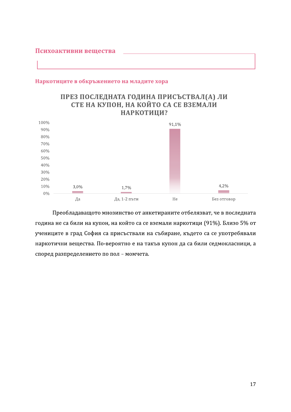#### Психоактивни вещества

#### Наркотиците в обкръжението на младите хора

#### ПРЕЗ ПОСЛЕДНАТА ГОДИНА ПРИСЪСТВАЛ(А) ЛИ СТЕ НА КУПОН, НА КОЙТО СА СЕ ВЗЕМАЛИ НАРКОТИЦИ?



Преобладаващото мнозинство от анкетираните отбелязват, че в последната година не са били на купон, на който са се вземали наркотици (91%). Близо 5% от учениците в град София са присъствали на събиране, където са се употребявали наркотични вещества. По-вероятно е на такъв купон да са били седмокласници, а според разпределението по пол - момчета.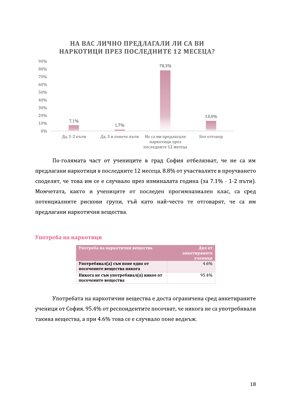#### НА ВАС ЛИЧНО ПРЕДЛАГАЛИ ЛИ СА ВИ НАРКОТИЦИ ПРЕЗ ПОСЛЕДНИТЕ 12 МЕСЕЦА?



По-голямата част от учениците в град София отбелязват, че не са им предлагани наркотици в последните 12 месеца. 8.8% от участвалите в проучването споделят, че това им се е случвало през изминалата година (за 7.1% - 1-2 пъти). Момчетата, както и учениците от последен прогимназиален клас, са сред потенциалните рискови групи, тъй като най-често те отговарят, че са им предлагани наркотични вещества.

#### Употреба на наркотици

| Употреба на наркотични вещества       | Дял от       |
|---------------------------------------|--------------|
|                                       | анкетираните |
|                                       | ученици      |
| Употребявал(а) съм поне едно от       | $4.6\%$      |
| посочените вещества някога            |              |
| Никога не съм употребявал(а) някое от | 95.4%        |
| посочените вешества                   |              |

Употребата на наркотични вещества е доста ограничена сред анкетираните ученици от София. 95.4% от респондентите посочват, че никога не са употребявали такива вещества, а при 4.6% това се е случвало поне веднъж.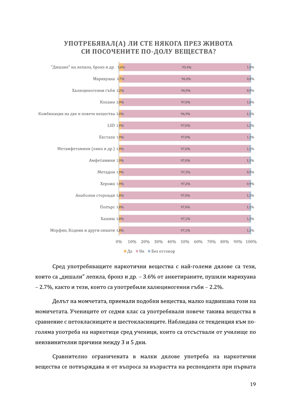

Сред употребяващите наркотични вещества с най-големи дялове са тези. които са "дишали" лепила, бронз и др. - 3.6% от анкетираните, пушили марихуана - 2.7%, както и тези, които са употребили халюциногенни гъби - 2.2%.

Делът на момчетата, приемали подобни вещества, малко надвишава този на момичетата. Учениците от седми клас са употребявали повече такива вещества в сравнение с петокласниците и шестокласниците. Наблюдава се тенденция към поголяма употреба на наркотици сред ученици, които са отсъствали от училище по неизвинителни причини между 3 и 5 дни.

Сравнително ограничената в малки дялове употреба на наркотични вещества се потвърждава и от въпроса за възрастта на респондента при първата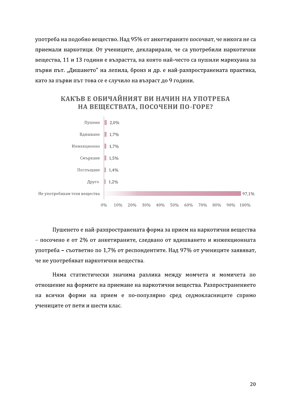употреба на подобно вещество. Над 95% от анкетираните посочват, че никога не са приемали наркотици. От учениците, декларирали, че са употребили наркотични вещества, 11 и 13 години е възрастта, на която най-често са пушили марихуана за първи път. "Дишането" на лепила, бронз и др. е най-разпространената практика, като за първи път това се е случило на възраст до 9 години.



Пушенето е най-разпространената форма за прием на наркотични вещества - посочено е от 2% от анкетираните, следвано от вдишването и инжекционната употреба - съответно по 1,7% от респондентите. Над 97% от учениците заявяват, че не употребяват наркотични вещества.

Няма статистически значима разлика между момчета и момичета по отношение на формите на приемане на наркотични вещества. Разпространението на всички форми на прием е по-популярно сред седмокласниците спрямо учениците от пети и шести клас.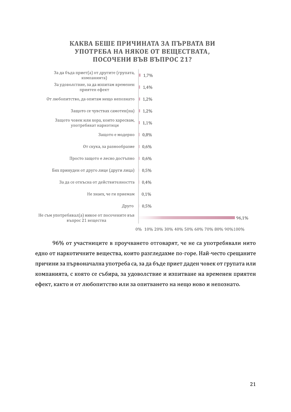#### КАКВА БЕШЕ ПРИЧИНАТА ЗА ПЪРВАТА ВИ УПОТРЕБА НА НЯКОЕ ОТ ВЕШЕСТВАТА. ПОСОЧЕНИ ВЪВ ВЪПРОС 21?



0% 10% 20% 30% 40% 50% 60% 70% 80% 90%100%

96% от участниците в проучването отговарят, че не са употребявали нито едно от наркотичните вещества, които разгледахме по-горе. Най-често срещаните причини за първоначална употреба са, за да бъде приет даден човек от групата или компанията, с която се събира, за удоволствие и изпитване на временен приятен ефект, както и от любопитство или за опитването на нещо ново и непознато.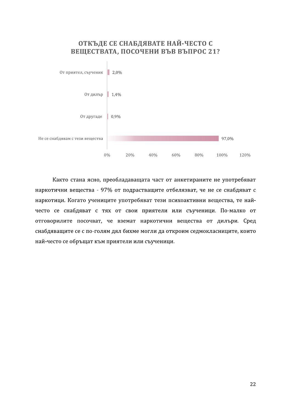## ОТКЪДЕ СЕ СНАБДЯВАТЕ НАЙ-ЧЕСТО С ВЕЩЕСТВАТА, ПОСОЧЕНИ ВЪВ ВЪПРОС 21?



Както стана ясно, преобладаващата част от анкетираните не употребяват наркотични вещества - 97% от подрастващите отбелязват, че не се снабдяват с наркотици. Когато учениците употребяват тези психоактивни вещества, те найчесто се снабдяват с тях от свои приятели или съученици. По-малко от отговорилите посочват, че вземат наркотични вещества от дилъри. Сред снабдяващите се с по-голям дял бихме могли да откроим седмокласниците, които най-често се обръщат към приятели или съученици.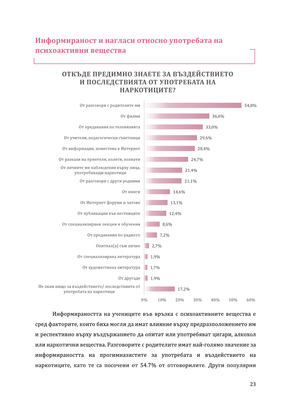# Информираност и нагласи относно употребата на психоактивни вещества

### ОТКЪДЕ ПРЕДИМНО ЗНАЕТЕ ЗА ВЪЗДЕЙСТВИЕТО И ПОСЛЕДСТВИЯТА ОТ УПОТРЕБАТА НА НАРКОТИЦИТЕ?



Информираността на учениците във връзка с психоактивните вещества е сред факторите, които биха могли да имат влияние върху предразположението им и респективно върху въздържанието да опитат или употребяват цигари, алкохол или наркотични вещества. Разговорите с родителите имат най-голямо значение за информираността на прогимназистите за употребата и въздействието на наркотиците, като те са посочени от 54.7% от отговорилите. Други популярни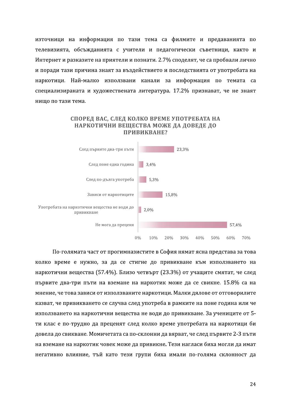източници на информация по тази тема са филмите и предаванията по телевизията, обсъжданията с учители и педагогически съветници, както и Интернет и разказите на приятели и познати. 2.7% споделят, че са пробвали лично и поради тази причина знаят за въздействието и последствията от употребата на наркотици. Най-малко използвани канали за информация по темата са специализираната и художествената литература. 17.2% признават, че не знаят нищо по тази тема.



СПОРЕД ВАС, СЛЕД КОЛКО ВРЕМЕ УПОТРЕБАТА НА НАРКОТИЧНИ ВЕЩЕСТВА МОЖЕ ДА ДОВЕДЕ ДО ПРИВИКВАНЕ?

По-голямата част от прогимназистите в София нямат ясна представа за това колко време е нужно, за да се стигне до привикване към използването на наркотични вещества (57.4%). Близо четвърт (23.3%) от учащите смятат, че след първите два-три пъти на вземане на наркотик може да се свикне. 15.8% са на мнение, че това зависи от използваните наркотици. Малки дялове от отговорилите казват, че привикването се случва след употреба в рамките на поне година или че използването на наркотични вещества не води до привикване. За учениците от 5ти клас е по-трудно да преценят след колко време употребата на наркотици би довела до свикване. Момичетата са по-склонни да вярват, че след първите 2-3 пъти на вземане на наркотик човек може да привикне. Тези нагласи биха могли да имат негативно влияние, тъй като тези групи биха имали по-голяма склонност да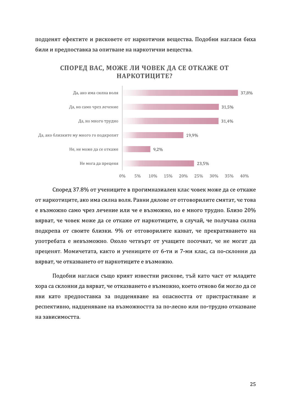подценят ефектите и рисковете от наркотични вещества. Подобни нагласи биха били и предпоставка за опитване на наркотични вещества.



Според 37.8% от учениците в прогимназиален клас човек може да се откаже от наркотиците, ако има силна воля. Равни дялове от отговорилите смятат, че това е възможно само чрез лечение или че е възможно, но е много трудно. Близо 20% вярват, че човек може да се откаже от наркотиците, в случай, че получава силна подкрепа от своите близки. 9% от отговорилите казват, че прекратяването на употребата е невъзможно. Около четвърт от учащите посочват, че не могат да преценят. Момичетата, както и учениците от 6-ти и 7-ми клас, са по-склонни да вярват, че отказването от наркотиците е възможно.

Подобни нагласи също крият известни рискове, тъй като част от младите хора са склонни да вярват, че отказването е възможно, което отново би могло да се яви като предпоставка за подценяване на опасността от пристрастяване и респективно, надценяване на възможността за по-лесно или по-трудно отказване на зависимостта.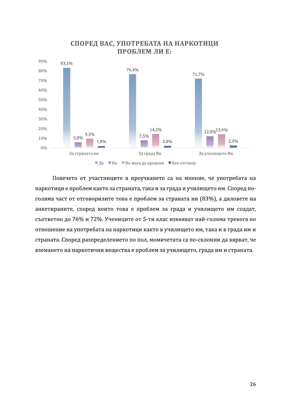

### СПОРЕД ВАС, УПОТРЕБАТА НА НАРКОТИЦИ ПРОБЛЕМ ЛИ Е:

Повечето от участниците в проучването са на мнение, че употребата на наркотици е проблем както за страната, така и за града и училището им. Според поголяма част от отговорилите това е проблем за страната ни (83%), а дяловете на анкетираните, според които това е проблем за града и училището им спадат, съответно до 76% и 72%. Учениците от 5-ти клас изявяват най-голяма тревога по отношение на употребата на наркотици както в училището им, така и в града им и страната. Според разпределението по пол, момичетата са по-склонни да вярват, че вземането на наркотични вещества е проблем за училището, града им и страната.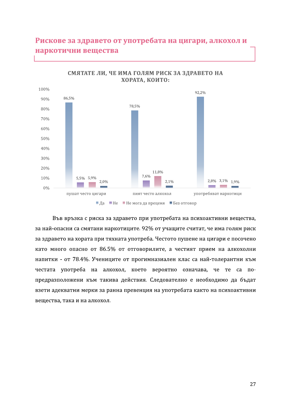# Рискове за здравето от употребата на цигари, алкохол и наркотични вещества



Във връзка с риска за здравето при употребата на психоактивни вещества, за най-опасни са смятани наркотиците. 92% от учащите считат, че има голям риск за здравето на хората при тяхната употреба. Честото пушене на цигари е посочено като много опасно от 86.5% от отговорилите, а честият прием на алкохолни напитки - от 78.4%. Учениците от прогимназиален клас са най-толерантни към честата употреба на алкохол, което вероятно означава, че те са попредразположени към такива действия. Следователно е необходимо да бъдат взети адекватни мерки за ранна превенция на употребата както на психоактивни вещества, така и на алкохол.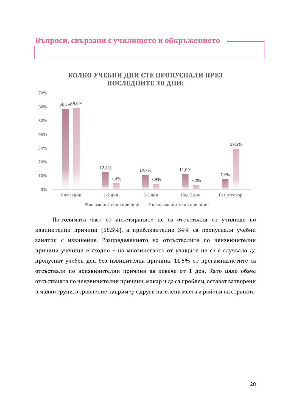

#### КОЛКО УЧЕБНИ ДНИ СТЕ ПРОПУСНАЛИ ПРЕЗ ПОСЛЕДНИТЕ 30 ДНИ:

Въпроси, свързани с училището и обкръжението

По-голямата част от анкетираните не са отсъствали от училище по извинителни причини (58.5%), а приблизително 34% са пропуснали учебни занятия с извинение. Разпределението на отсъствалите по неизвинителни причини ученици е сходно - на мнозинството от учащите не се е случвало да пропуснат учебен ден без извинителна причина. 11.5% от прогимназистите са отсъствали по неизвинителни причини за повече от 1 ден. Като цяло обаче отсъствията по неизвинителни причини, макар и да са проблем, остават затворени в малки групи, в сравнение например с други населени места и райони на страната.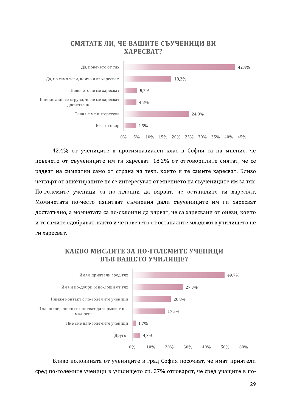#### СМЯТАТЕ ЛИ, ЧЕ ВАШИТЕ СЪУЧЕНИЦИ ВИ **XAPECBAT?**



42.4% от учениците в прогимназиален клас в София са на мнение, че повечето от съучениците им ги харесват. 18.2% от отговорилите смятат, че се радват на симпатии само от страна на тези, които и те самите харесват. Близо четвърт от анкетираните не се интересуват от мнението на съучениците им за тях. По-големите ученици са по-склонни да вярват, че останалите ги харесват. Момичетата по-често изпитват съмнения дали съучениците им ги харесват достатъчно, а момчетата са по-склонни да вярват, че са харесвани от онези, които и те самите одобряват, както и че повечето от останалите младежи в училището не ги харесват.



КАКВО МИСЛИТЕ ЗА ПО-ГОЛЕМИТЕ УЧЕНИЦИ ВЪВ ВАШЕТО УЧИЛИЩЕ?

Близо половината от учениците в град София посочват, че имат приятели сред по-големите ученици в училището си. 27% отговарят, че сред учащите в по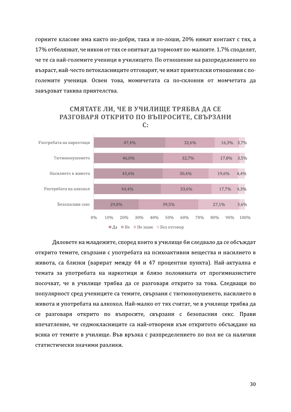горните класове има както по-добри, така и по-лоши, 20% нямат контакт с тях, а 17% отбелязват, че някои от тях се опитват да тормозят по-малките. 1.7% споделят, че те са най-големите ученици в училището. По отношение на разпределението по възраст, най-често петокласниците отговарят, че имат приятелски отношения с поголемите ученици. Освен това, момичетата са по-склонни от момчетата да завързват такива приятелства.



#### СМЯТАТЕ ЛИ, ЧЕ В УЧИЛИЩЕ ТРЯБВА ДА СЕ РАЗГОВАРЯ ОТКРИТО ПО ВЪПРОСИТЕ, СВЪРЗАНИ  $C:$

Дяловете на младежите, според които в училище би следвало да се обсъждат открито темите, свързани с употребата на психоактивни вещества и насилието в живота, са близки (варират между 44 и 47 процентни пункта). Най-актуална е темата за употребата на наркотици и близо половината от прогимназистите посочват, че в училище трябва да се разговаря открито за това. Следващи по популярност сред учениците са темите, свързани с тютюнопушенето, насилието в живота и употребата на алкохол. Най-малко от тях считат, че в училище трябва да се разговаря открито по въпросите, свързани с безопасния секс. Прави впечатление, че седмокласниците са най-отворени към откритото обсъждане на всяка от темите в училище. Във връзка с разпределението по пол не са налични статистически значими разлики.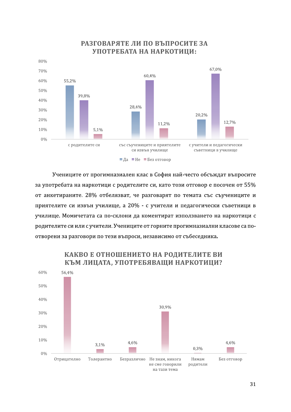

### РАЗГОВАРЯТЕ ЛИ ПО ВЪПРОСИТЕ ЗА УПОТРЕБАТА НА НАРКОТИЦИ:

Учениците от прогимназиален клас в София най-често обсъждат въпросите за употребата на наркотици с родителите си, като този отговор е посочен от 55% от анкетираните. 28% отбелязват, че разговарят по темата със съучениците и приятелите си извън училище, а 20% - с учители и педагогически съветници в училище. Момичетата са по-склони да коментират използването на наркотици с родителите си или с учители. Учениците от горните прогимназиални класове са поотворени за разговори по тези въпроси, независимо от събеседника.



# КАКВО Е ОТНОШЕНИЕТО НА РОДИТЕЛИТЕ ВИ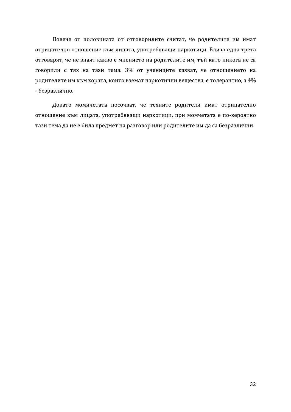Повече от половината от отговорилите считат, че родителите им имат отрицателно отношение към лицата, употребяващи наркотици. Близо една трета отговарят, че не знаят какво е мнението на родителите им, тъй като никога не са говорили с тях на тази тема. 3% от учениците казват, че отношението на родителите им към хората, които вземат наркотични вещества, е толерантно, а 4% - безразлично.

Докато момичетата посочват, че техните родители имат отрицателно отношение към лицата, употребяващи наркотици, при момчетата е по-вероятно тази тема да не е била предмет на разговор или родителите им да са безразлични.